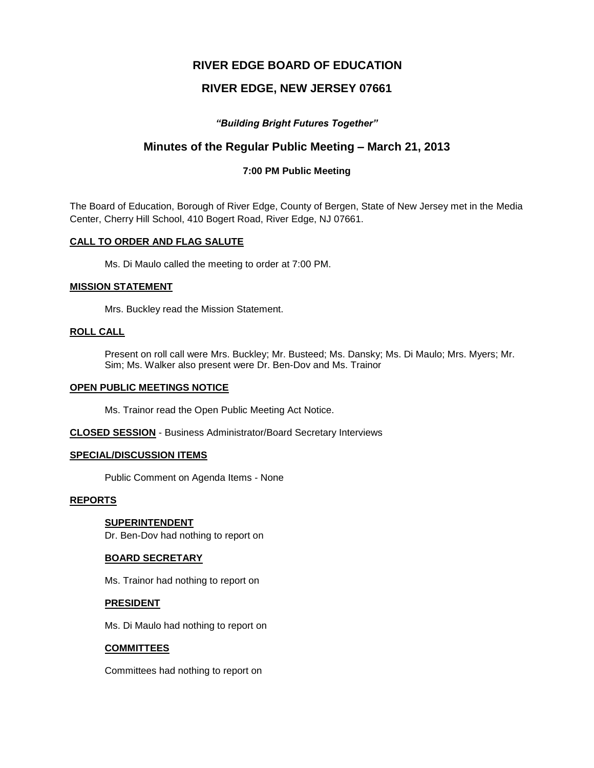# **RIVER EDGE BOARD OF EDUCATION**

# **RIVER EDGE, NEW JERSEY 07661**

## *"Building Bright Futures Together"*

# **Minutes of the Regular Public Meeting – March 21, 2013**

## **7:00 PM Public Meeting**

The Board of Education, Borough of River Edge, County of Bergen, State of New Jersey met in the Media Center, Cherry Hill School, 410 Bogert Road, River Edge, NJ 07661.

#### **CALL TO ORDER AND FLAG SALUTE**

Ms. Di Maulo called the meeting to order at 7:00 PM.

#### **MISSION STATEMENT**

Mrs. Buckley read the Mission Statement.

## **ROLL CALL**

Present on roll call were Mrs. Buckley; Mr. Busteed; Ms. Dansky; Ms. Di Maulo; Mrs. Myers; Mr. Sim; Ms. Walker also present were Dr. Ben-Dov and Ms. Trainor

#### **OPEN PUBLIC MEETINGS NOTICE**

Ms. Trainor read the Open Public Meeting Act Notice.

**CLOSED SESSION** - Business Administrator/Board Secretary Interviews

#### **SPECIAL/DISCUSSION ITEMS**

Public Comment on Agenda Items - None

### **REPORTS**

## **SUPERINTENDENT**

Dr. Ben-Dov had nothing to report on

#### **BOARD SECRETARY**

Ms. Trainor had nothing to report on

### **PRESIDENT**

Ms. Di Maulo had nothing to report on

## **COMMITTEES**

Committees had nothing to report on